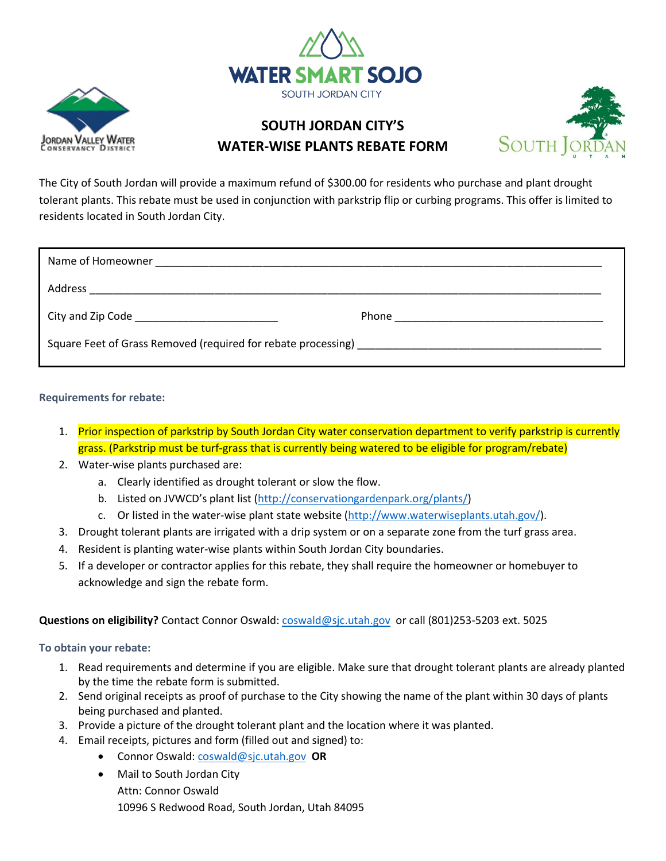



## **SOUTH JORDAN CITY'S WATER-WISE PLANTS REBATE FORM**



The City of South Jordan will provide a maximum refund of \$300.00 for residents who purchase and plant drought tolerant plants. This rebate must be used in conjunction with parkstrip flip or curbing programs. This offer is limited to residents located in South Jordan City.

|                                                               | Phone <u>_______________________________</u> |
|---------------------------------------------------------------|----------------------------------------------|
| Square Feet of Grass Removed (required for rebate processing) |                                              |

**Requirements for rebate:**

- 1. Prior inspection of parkstrip by South Jordan City water conservation department to verify parkstrip is currently grass. (Parkstrip must be turf-grass that is currently being watered to be eligible for program/rebate)
- 2. Water-wise plants purchased are:
	- a. Clearly identified as drought tolerant or slow the flow.
	- b. Listed on JVWCD's plant list ([http://conservationgardenpark.org/plants/\)](http://conservationgardenpark.org/plants/)
	- c. Or listed in the water-wise plant state website [\(http://www.waterwiseplants.utah.gov/\)](http://www.waterwiseplants.utah.gov/).
- 3. Drought tolerant plants are irrigated with a drip system or on a separate zone from the turf grass area.
- 4. Resident is planting water-wise plants within South Jordan City boundaries.
- 5. If a developer or contractor applies for this rebate, they shall require the homeowner or homebuyer to acknowledge and sign the rebate form.

#### **Questions on eligibility?** Contact Connor Oswald: [coswald@sjc.utah.gov](mailto:coswald@sjc.utah.gov) or call (801)253-5203 ext. 5025

**To obtain your rebate:**

- 1. Read requirements and determine if you are eligible. Make sure that drought tolerant plants are already planted by the time the rebate form is submitted.
- 2. Send original receipts as proof of purchase to the City showing the name of the plant within 30 days of plants being purchased and planted.
- 3. Provide a picture of the drought tolerant plant and the location where it was planted.
- 4. Email receipts, pictures and form (filled out and signed) to:
	- Connor Oswald: [coswald@sjc.utah.gov](mailto:coswald@sjc.utah.gov) **OR**
	- Mail to South Jordan City Attn: Connor Oswald 10996 S Redwood Road, South Jordan, Utah 84095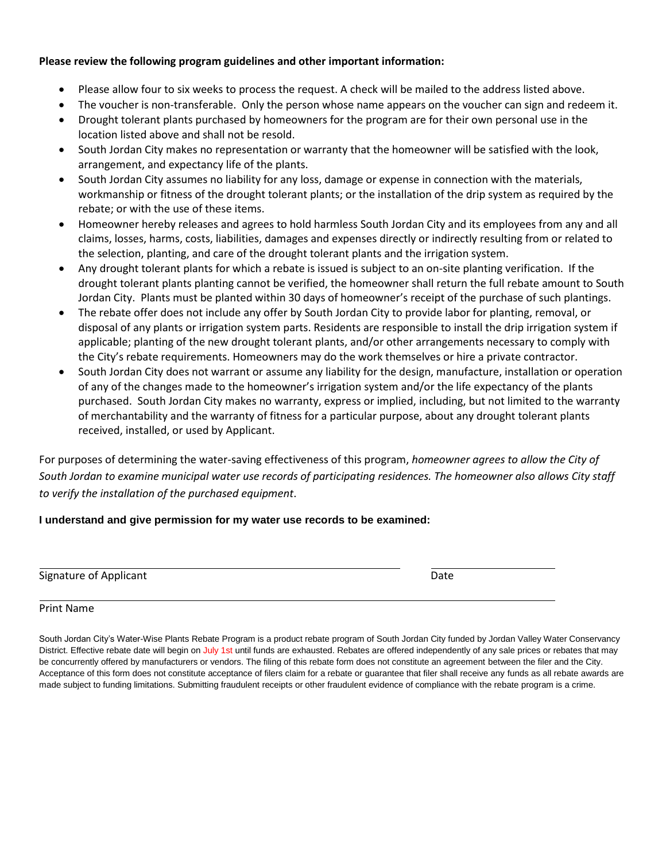#### **Please review the following program guidelines and other important information:**

- Please allow four to six weeks to process the request. A check will be mailed to the address listed above.
- The voucher is non-transferable. Only the person whose name appears on the voucher can sign and redeem it.
- Drought tolerant plants purchased by homeowners for the program are for their own personal use in the location listed above and shall not be resold.
- South Jordan City makes no representation or warranty that the homeowner will be satisfied with the look, arrangement, and expectancy life of the plants.
- South Jordan City assumes no liability for any loss, damage or expense in connection with the materials, workmanship or fitness of the drought tolerant plants; or the installation of the drip system as required by the rebate; or with the use of these items.
- Homeowner hereby releases and agrees to hold harmless South Jordan City and its employees from any and all claims, losses, harms, costs, liabilities, damages and expenses directly or indirectly resulting from or related to the selection, planting, and care of the drought tolerant plants and the irrigation system.
- Any drought tolerant plants for which a rebate is issued is subject to an on-site planting verification. If the drought tolerant plants planting cannot be verified, the homeowner shall return the full rebate amount to South Jordan City. Plants must be planted within 30 days of homeowner's receipt of the purchase of such plantings.
- The rebate offer does not include any offer by South Jordan City to provide labor for planting, removal, or disposal of any plants or irrigation system parts. Residents are responsible to install the drip irrigation system if applicable; planting of the new drought tolerant plants, and/or other arrangements necessary to comply with the City's rebate requirements. Homeowners may do the work themselves or hire a private contractor.
- South Jordan City does not warrant or assume any liability for the design, manufacture, installation or operation of any of the changes made to the homeowner's irrigation system and/or the life expectancy of the plants purchased. South Jordan City makes no warranty, express or implied, including, but not limited to the warranty of merchantability and the warranty of fitness for a particular purpose, about any drought tolerant plants received, installed, or used by Applicant.

For purposes of determining the water-saving effectiveness of this program, *homeowner agrees to allow the City of South Jordan to examine municipal water use records of participating residences. The homeowner also allows City staff to verify the installation of the purchased equipment*.

### **I understand and give permission for my water use records to be examined:**

| Signature of Applicant | Date |
|------------------------|------|
|                        |      |

#### Print Name

South Jordan City's Water-Wise Plants Rebate Program is a product rebate program of South Jordan City funded by Jordan Valley Water Conservancy District. Effective rebate date will begin on July 1st until funds are exhausted. Rebates are offered independently of any sale prices or rebates that may be concurrently offered by manufacturers or vendors. The filing of this rebate form does not constitute an agreement between the filer and the City. Acceptance of this form does not constitute acceptance of filers claim for a rebate or guarantee that filer shall receive any funds as all rebate awards are made subject to funding limitations. Submitting fraudulent receipts or other fraudulent evidence of compliance with the rebate program is a crime.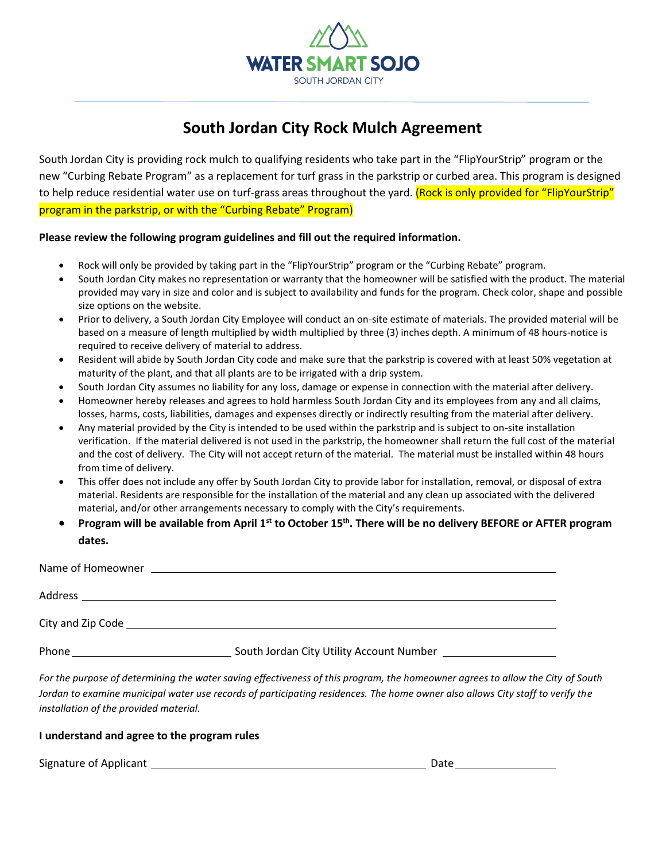

## **South Jordan City Rock Mulch Agreement**

South Jordan City is providing rock mulch to qualifying residents who take part in the "FlipYourStrip" program or the new "Curbing Rebate Program" as a replacement for turf grass in the parkstrip or curbed area. This program is designed to help reduce residential water use on turf-grass areas throughout the yard. (Rock is only provided for "FlipYourStrip" program in the parkstrip, or with the "Curbing Rebate" Program)

#### **Please review the following program guidelines and fill out the required information.**

- Rock will only be provided by taking part in the "FlipYourStrip" program or the "Curbing Rebate" program.
- South Jordan City makes no representation or warranty that the homeowner will be satisfied with the product. The material provided may vary in size and color and is subject to availability and funds for the program. Check color, shape and possible size options on the website.
- Prior to delivery, a South Jordan City Employee will conduct an on-site estimate of materials. The provided material will be based on a measure of length multiplied by width multiplied by three (3) inches depth. A minimum of 48 hours-notice is required to receive delivery of material to address.
- Resident will abide by South Jordan City code and make sure that the parkstrip is covered with at least 50% vegetation at maturity of the plant, and that all plants are to be irrigated with a drip system.
- South Jordan City assumes no liability for any loss, damage or expense in connection with the material after delivery.
- Homeowner hereby releases and agrees to hold harmless South Jordan City and its employees from any and all claims, losses, harms, costs, liabilities, damages and expenses directly or indirectly resulting from the material after delivery.
- Any material provided by the City is intended to be used within the parkstrip and is subject to on-site installation verification. If the material delivered is not used in the parkstrip, the homeowner shall return the full cost of the material and the cost of delivery. The City will not accept return of the material. The material must be installed within 48 hours from time of delivery.
- This offer does not include any offer by South Jordan City to provide labor for installation, removal, or disposal of extra material. Residents are responsible for the installation of the material and any clean up associated with the delivered material, and/or other arrangements necessary to comply with the City's requirements.
- **Program will be available from April 1st to October 15th. There will be no delivery BEFORE or AFTER program dates.**

| Name of Homeowner | <u> 1989 - Johann Stoff, deutscher Stoff, der Stoff, der Stoff, der Stoff, der Stoff, der Stoff, der Stoff, der S</u>                                                                                                         |  |
|-------------------|-------------------------------------------------------------------------------------------------------------------------------------------------------------------------------------------------------------------------------|--|
|                   |                                                                                                                                                                                                                               |  |
|                   | City and Zip Code experience and the contract of the contract of the contract of the contract of the contract of the contract of the contract of the contract of the contract of the contract of the contract of the contract |  |
| Phone             |                                                                                                                                                                                                                               |  |

*For the purpose of determining the water saving effectiveness of this program, the homeowner agrees to allow the City of South Jordan to examine municipal water use records of participating residences. The home owner also allows City staff to verify the installation of the provided material.*

#### **I understand and agree to the program rules**

Signature of Applicant Date